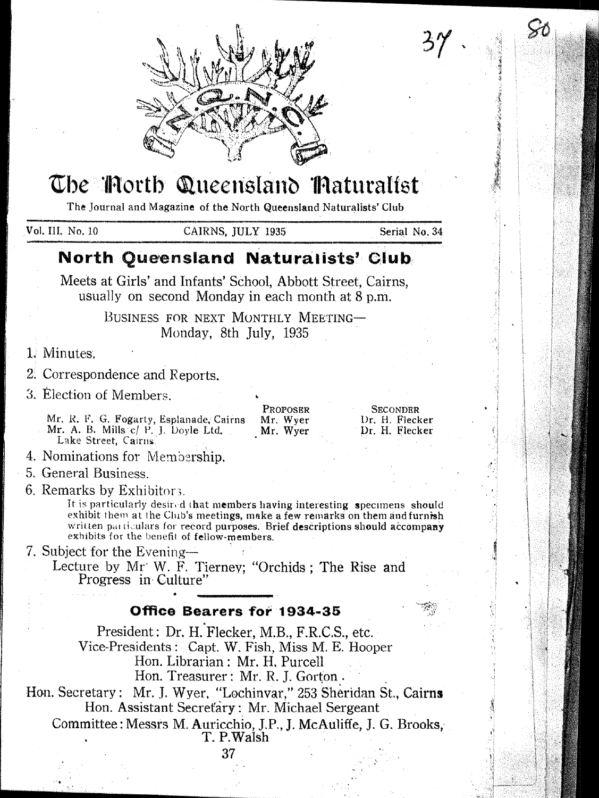

# The Morth Queensland Maturalist

The Journal and Magazine of the North Queensland Naturalists' Club

Vol. III, No. 10

CAIRNS, IULY 1935

Serial No. 34

**SECONDER** 

Dr. H. Flecker

Dr. H. Flecker

## North Queensland Naturalists' Club

Meets at Girls' and Infants' School, Abbott Street, Cairns, usually on second Monday in each month at 8 p.m.

> BUSINESS FOR NEXT MONTHLY MEETING-Monday, 8th July, 1935

1. Minutes.

2. Correspondence and Reports.

3. Election of Members.

Mr. R. F. G. Fogarty, Esplanade, Cairns Mr. A. B. Mills c/ P. J. Doyle Ltd.<br>Lake Street, Cairns.

4. Nominations for Membership.

5. General Business

6. Remarks by Exhibitors.

It is particularly desired that members having interesting specimens should exhibit them at the Club's meetings, make a few remarks on them and furnish written particulars for record purposes. Brief descriptions should accompany exhibits for the benefit of fellow-members.

PROPOSER

Mr. Wyer<br>Mr. Wyer

7. Subject for the Evening-

Lecture by Mr W. F. Tierney; "Orchids; The Rise and Progress in Culture"

### Office Bearers for 1934-35

President: Dr. H. Flecker, M.B., F.R.C.S., etc. Vice-Presidents: Capt. W. Fish, Miss M. E. Hooper Hon. Librarian: Mr. H. Purcell Hon. Treasurer: Mr. R. J. Gorton.

Hon. Secretary: Mr. J. Wyer, "Lochinvar," 253 Sheridan St., Cairns Hon. Assistant Secretary: Mr. Michael Sergeant

Committee: Messrs M. Auricchio, J.P., J. McAuliffe, J. G. Brooks, T. P. Walsh

37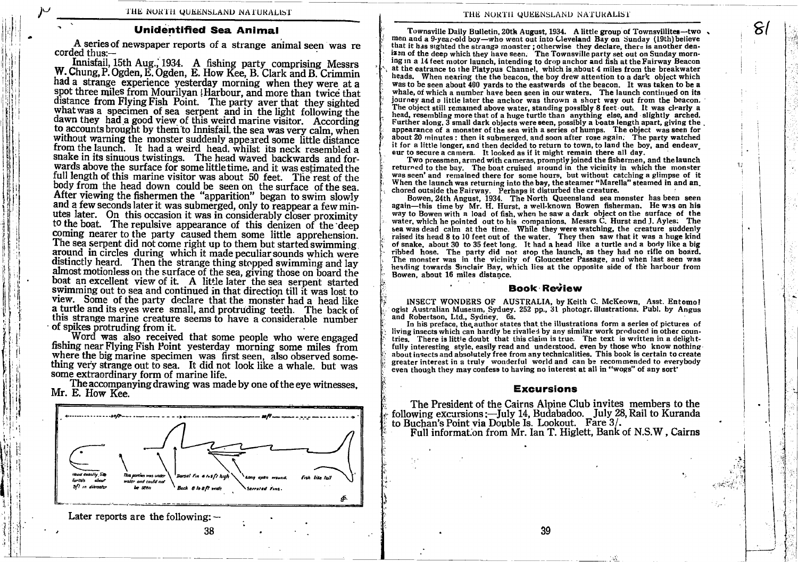### Unidentified Sea Animal

A series of newspaper reports of a strange animal seen was re corded thus:-

Innisfail, 15th Aug., 1934. A fishing party comprising Messrs W. Chung, P. Ogden, E. Ogden, E. How Kee, B. Clark and B. Crimmin had a strange experience yesterday morning when they were at a spot three miles from Mourilyan ! Harbour, and more than twice that distance from Flying Fish Point. The party aver that they sighted what was a specimen of sea serpent and in the light following the dawn they had a good view of this weird marine visitor. According to accounts brought by them to Innisfail, the sea was very calm, when without warning the monster suddenly appeared some little distance from the launch. It had a weird head. whilst its neck resembled a snake in its sinuous twistings. The head waved backwards and forwards above the surface for some little time, and it was estimated the full length of this marine visitor was about 50 feet. The rest of the body from the head down could be seen on the surface of the sea. After viewing the fishermen the "apparition" began to swim slowly and a few seconds later it was submerged, only to reappear a few minutes later. On this occasion it was in considerably closer proximity to the boat. The repulsive appearance of this denizen of the deep coming nearer to the party caused them some little apprehension. The sea serpent did not come right up to them but started swimming<br>around in circles during which it made peculiar sounds which were distinctly heard. Then the strange thing stopped swimming and lay almost motionless on the surface of the sea, giving those on board the boat an excellent view of it. A little later the sea, serpent started swimming out to sea and continued in that direction till it was lost to view. Some of the party declare that the monster had a head like a turtle and it view. Some of the party declare that the monster had a head like this strange marine creature seems to have a considerable number of spikes protruding from it.

Word was also received that some people who were engaged fishing near Flying Fish Point yesterday morning some miles from where the big marine specimen was first seen, also observed something very strange out to sea. It did not look like a whale. but was some extraordinary form of marine life.

The accompanying drawing was made by one of the eye witnesses,<br>Mr. E. How Kee.



3B

Later reports are the following: $-$ 

 $\mathcal{E}(\mathcal{E})$ 

 $\vert$ 

I i TJ

I

Townsville Daily Bulletin,20th August, 1934. A little group of Townsvilliter-two , men and a 9-year-old boy-who went out into Cleveland Bay on Sunday (l9th)believe that it has sighted the strange monster; otherwise they declare, there is another deniz:n of the deep which they have seen. The Townsville party set out on Sunday morning in a 14 feet motor launch, intending to drop anchor and fish at the Fairway Beacon at the eatrance to the Platypus Channel. which is about 4 miles from the breakwater heads. When nearing the the beacon, the boy drew attention to a dark object which wasto be seen about 400 yards to the eastwards of the beacon. It was taken to be <sup>a</sup> journey and a little later the anchor was thrown a short way out from the beacon. The object still remained above water, standing possibly 8 feet out. It was clearly a head, resembling more that of a huge turtle than anything else, and slightly arched. Further along, 3 small dark objects were seen, possibly a looats length apart, giving the . appearance of a monster of the sea with a series of humps. The object was seen for appearance of a monster of the sea with a series of humps. The object was seen for<br>about 20 minutes : then it submerged, and soon after rose again. The party watched it for a little longer, and then decided to return to town, to land the boy, and endeavour to secure a camera. It looked as if it might remain there all day.

Two pressmen, armed with cameras, promptly joined the fishermen, and thelaunch returned to the bay. The boat cruised around in the vicinity in which the monster was seen'and remained there for some hours, but without catching a glimpse of it When the launch was returning into the bay, the steamer "Marella" steamed in and an. chored outside the Fairway. Perhaps it disturbed the creature.

Bowen, 24th Angust, 1934. The North Queensland sea monster has been seen again-this time by Mr. H. Hurst, a well-known Bowen fisherman. He was on his way to Bowen with a load of fish, when he saw a dark object on the surface of the water, which he pointed out to his companions. Messrs C. Hurst and J. Ayles. The sea was dead calm at the time. While they were watching, the creature suddenly raised its head 8 to 10 feet out of the water. They then saw that it was a huge kind of snake, about 30 to 35 feet long. It had a head like a turtle and a body like a big ribbed hose. The party did not stop the launch, as they had no rifle on board. The monster was in the vicinity of Gloucester Passage, and when last seen was heading towards Sinclair Bay, which lies at the opposite side of the harbour from Bowen, about 16 miles distance.

### **Book Review**

i INSECT WONDERS OF AUSTRALIA, by Keith C. McKeown, Asst. Entomof ogist Australian Museum, Syduey. 252 pp., 31 photogr. illustrations. Publ. by Angus<br>and Robertson. Ltd.. Sydney 6s.

In his preface, the author states that the illustrations form a series of pictures of living insects which can hardly be rivalled by any similar work produced in other countries. There is little doubt that this claim is true. The text is written in a delight-<br>fully interesting style, easily read and underst about insects and absolutely free from any technicalities. This book is certain to create greater interest in a truly wonderful world and can be recommended to everybody even though they may confese to having no interest at all in "wogs" of any sort'

### Excursions

The President of the Cairns Alpine Club invites members to the following excursions:--July 14, Budabadoo. July 28, Rail to Kuranda to Buchan's Point via Double Is. Lookout. Fare 3/.

Full informat.on from Mr. Ian T. Higlett, Bank of N.S.W, Cairns

39